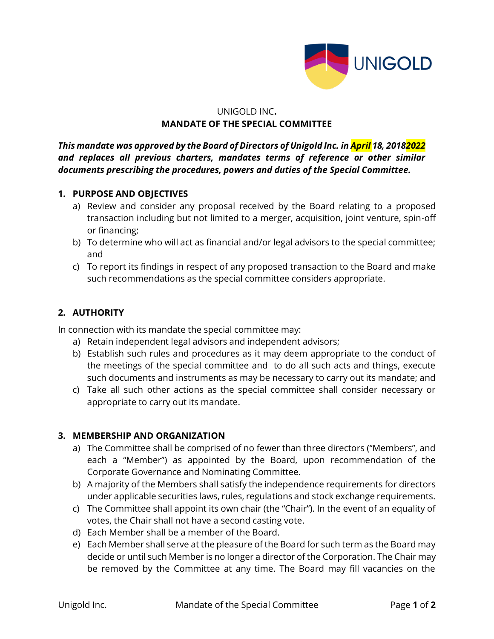

## UNIGOLD INC**. MANDATE OF THE SPECIAL COMMITTEE**

*This mandate was approved by the Board of Directors of Unigold Inc. in April 18, 20182022 and replaces all previous charters, mandates terms of reference or other similar documents prescribing the procedures, powers and duties of the Special Committee.* 

## **1. PURPOSE AND OBJECTIVES**

- a) Review and consider any proposal received by the Board relating to a proposed transaction including but not limited to a merger, acquisition, joint venture, spin-off or financing;
- b) To determine who will act as financial and/or legal advisors to the special committee; and
- c) To report its findings in respect of any proposed transaction to the Board and make such recommendations as the special committee considers appropriate.

## **2. AUTHORITY**

In connection with its mandate the special committee may:

- a) Retain independent legal advisors and independent advisors;
- b) Establish such rules and procedures as it may deem appropriate to the conduct of the meetings of the special committee and to do all such acts and things, execute such documents and instruments as may be necessary to carry out its mandate; and
- c) Take all such other actions as the special committee shall consider necessary or appropriate to carry out its mandate.

## **3. MEMBERSHIP AND ORGANIZATION**

- a) The Committee shall be comprised of no fewer than three directors ("Members", and each a "Member") as appointed by the Board, upon recommendation of the Corporate Governance and Nominating Committee.
- b) A majority of the Members shall satisfy the independence requirements for directors under applicable securities laws, rules, regulations and stock exchange requirements.
- c) The Committee shall appoint its own chair (the "Chair"). In the event of an equality of votes, the Chair shall not have a second casting vote.
- d) Each Member shall be a member of the Board.
- e) Each Member shall serve at the pleasure of the Board for such term as the Board may decide or until such Member is no longer a director of the Corporation. The Chair may be removed by the Committee at any time. The Board may fill vacancies on the